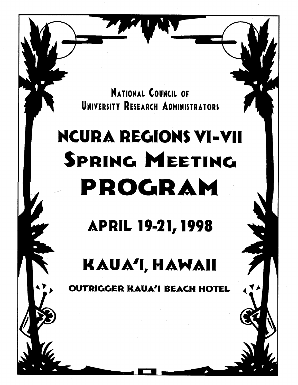NATIONAL COUNCIL OF UNIVERSITY RESEARCH ADMINISTRATORS

# NCURA REGIONS VI-VII SPRING MEETING PROGRAM

APRIL 19-21,1998

KAUA'I, HAWAII

 $\tt IGGER KAUA'I BEACH HOTEL$ 

0 0

 $\sum$ 

 $\bullet$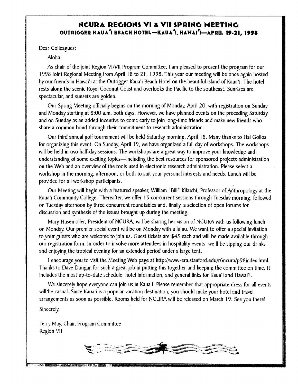# NCURA REGIONS VI & VII SPRING MEETING OUTRIGGER KAUA<sup>1</sup>I BEACH HOTEL-KAUA<sup>1</sup>I, HAWAI<sup>1</sup>I-APRIL **19-21, 1998**

Dear Colleagues:

Alohal

As chair of the joint Region VINII Program Committee, I am pleased to present the program for our 1998 point Regional Meeting from April 18 to 2 I , 1998. This year our meeting will be once again hosted by our friends in Hawai'i at the Outrigger Kaua'i Beach Hotel on the beautiful island of Kaua'i. The hotel rests along the scenic Royal Coconut Coast and overlooks the Pacific to the southeast. Sunrises are spectacular, and sunsets are golden.

Our Spring Meeting officially begins on the morning of Monday, April 20, with registration on Sunday and Monday starting at 8:00 a.m. both days. However, we have planned events on the preceding Saturday and on Sunday as an added incentive to come early to join long-time friends and make new friends who share a common bond through their commitment to research administration.

Our third annual golf tournament will be held Saturday morning, April 18. Many thanks to Hal Gollos for organizing this event. On Sunday, April 19, we have organized a full day of workshops. The workshops will be held in two half-day sessions. The workshops are a great way to improve your knowledge and understanding of some exciting topics—including the best resources for sponsored projects administration on the Web and an overview of the tools used in electronic research administration. Please select a workshop in the morning, afternoon, or both to suit your personal interests and needs. Lunch will be provided for all workshop participants.

Our Meeting will begin with a featured speaker, William "Bill" Kikuchi, Professor of Anthropology at the Kaua'i Community College. Thereafter, we offer 15 concurrent sessions through Tuesday morning, followed on Tuesday afternoon by three concurrent roundtables and, finally, a selection of open forums for discussion and synthesis of the issues brought up during the meeting.

Mary Husemoller, President of NCIIRA, will be sharing her vision of NCURA with us following lunch on Monday. Our premier social event will be on Monday with a lu'au. We want to offer a special invitation to your guests who are welcome to join us. Guest tickets are \$45 each and will be made available through our registration form. In order to involve more attendees in hospitality events, we'll be sipping our drinks and enjoying the tropical evening for an extended period under a large tent.

I encourage you to visit the Meeting Web page at http://www-era.stanford.edu/r6ncura/p98index.html. Thanks to Dave Dungan for such a great job in putting this together and keeping the committee on time. It includes the most up-to-date schedule, hotel information, and general links for Kaua'i and Hawai'i.

We sincerely hope everyone can join us in Kaua'i. Please remember that appropriate dress for all events will be casual. Since Kaua'i is a popular vacation destination, you should make your hotel and travel arrangements as soon as possible. Rooms held for NCURA will be released on March 19. See you there! Sincerely,

Terry May, Chair, Program Committee Region VII

The court of the state of the state of the state of the

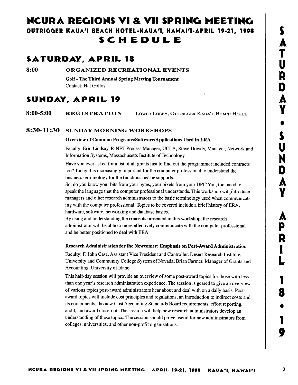# NCURA REGIONS VI & VII SPRING MEETING OUTRIGGER KAUA'I BEACH HOTEL-KAUA'I, HAWAI'I-APRIL 19-21, 1998 SCM EDULE

# SATURDAY, APRIL 18

8:00 ORGANIZED RECREATIONAL EVENTS

Golf -The Third Annual Spring Meeting Tournament Contact: Hal Gollos

# SUNDAY, APRIL 19

8:00-5:00 REGISTRATION LOWER LOBBY, OUTRIGGER KAUA'I BEACH HOTEL

# 8:30-11:30 SUNDAY MORNING WORKSHOPS

# Overview of Common Programs/Software/Applications Used in ERA

Faculty: Erin Lindsay, R-NET Process Manager, UCLA; Steve Dowdy, Manager, Network and Information Systems, Massachusetts Institute of Technology

Have you ever asked for a list of all grants just to find out the programmer included contracts too? Today it is increasingly important for the computer professional to understand the business terminology for the functions he/she supports.

So, do you know your bits from your bytes, your pixels from your DPI? You, too, need to speak the language that the computer professional understands. This workshop will introduce managers and other research administrators to the basic terminology used when communicating with the computer professional. Topics to be covered include a brief history of ERA, hardware, software, networking and database basics.

By using and understanding the concepts presented in this workshop, the research administrator will be able to more effectively communicate with the computer professional and be better positioned to deal with ERA.

# Research Administration for the Newcomer: Emphasis on Post-Award Administration

Faculty: F. John Case, Assistant Vice President and Controller, Desert Research Institute, University and Community College System of Nevada; Brian Farmer, Manager of Grants and Accounting, University of Idaho

This half-day session will provide an overview of some post-award topics for those with less than one year's research administration experience. The session is geared to give an overview of various topics post-award administrators hear about and deal with on a daily basis. Postaward topics will include cost principles and regulations, an introduction to indirect costs and its components, the new Cost Accounting Standards Board requirements, effort reporting, audit, and award close-out. The session will help new research administrators develop an understanding of these topics. The session should prove useful for new administrators from colleges, universities, and other non-profit organizations.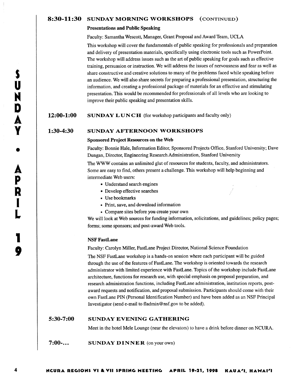# 8:30-11:30 SUNDAY MORNING WORKSHOPS (CONTINUED)

## Presentations and Public Speaking

Faculty: Samantha Wescott, Manager, Grant Proposal and Award Team, UCLA

This workshop will cover the fundamentals of public speaking for professionals and preparation and delivery of presentation materials, specifically using electronic tools such as PowerPoint. The workshop will address issues such as the art of public speaking for goals such as effective training, persuasion or instruction. We will address the issues of nervousness and fear as well as share constructive and creative solutions to many of the problems faced while speaking before an audience. We will also share secrets for preparing a professional presentation, structuring the information, and creating a professional package of materials for an effective and stimulating presentation. This would be recommended for professionals of all levels who are looking to improve their public speaking and presentation skills.

# **12:00-1:00** SUNDAY LUNCH (for workshop participants and faculty only)

# 1:30-4:30 SUNDAY AFTERNOON WORKSHOPS

## Sponsored Project Resources on the Web

Faculty: Bonnie Hale, Information Editor, Sponsored Projects Office, Stanford University; Dave Dungan, Director, Engineering Research Administration, Stanford University

The WWW contains an unlimited glut of resources for students, faculty, and administrators. Some are easy to find, others present a challenge. This workshop will help beginning and intermediate Web users:

- Understand search engines
- Develop effective searches
- Use bookmarks
- Print, save, and download information
- Compare sites before you create your own

We will look at Web sources for funding information, solicitations, and guidelines; policy pages; forms; some sponsors; and post-award Web tools.

## NSF FastLane

Faculty: Carolyn Miller, FastLane Project Director, National Science Foundation

The NSF FastLane workshop is a hands-on session where each participant will be guided through the use of the features of FastLane. The workshop is oriented towards the research administrator with limited experience with FastLane. Topics of the workshop include FastLane architecture, functions for research use, with special emphasis on proposal preparation, and research administration functions, including FastLane administration, institution reports, postaward requests and notification, and proposal submission. Participants should come with their own FastLane PIN (Personal Identification Number) and have been added as an NSF Principal Investigator (send e-mail to fladmin@nsf.gov to be added).

#### 5:30-7:00 SUNDAY EVENING GATHERING

Meet in the hotel Mele Lounge (near the elevators) to have a drink before dinner on NCURA.

7:00-... SUNDAY DINNER (on your own)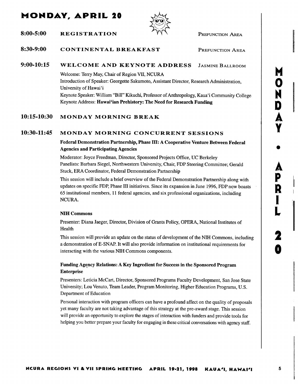# MONDAY, APRIL 20



 $8:00-5:00$  REGISTRATION  $\bigwedge^{\mathcal{C}}$  PREFUNCTION AREA

### 8:30-9:00 CONTINENTAL BREAKFAST PREFUNCTION AREA

#### 9:00-10:15 WELCOME AND KEYNOTE ADDRESS JASMINE BALLROOM

Welcome: Terry May, Chair of Region VII, NCURA Introduction of Speaker: Georgette Sakumoto, Assistant Director, Research Administration, University of Hawai'i Keynote Speaker: William "Bill" Kikuchi, Professor of Anthropology, Kaua'i Community College Keynote Address: Hawai'ian Prehistory: The Need for Research Funding

#### 10:15-10:30 MONDAY MORNING BREAK

#### 10:30-11:45 MONDAY MORNING CONCURRENT SESSIONS

Federal Demonstration Partnership, Phase III: A Cooperative Venture Between Federal Agencies and Participating Agencies

Moderator: Joyce Freedman, Director, Sponsored Projects Office, UC Berkeley Panelists: Barbara Siegel, Northwestern University, Chair, FDP Steering Committee; Gerald Stuck, ERA Coordinator, Federal Demonstration Partnership

This session will include a brief overview of the Federal Demonstration Partnership along with updates on specific FDP, Phase III initiatives. Since its expansion in June 1996, FDP now boasts 65 institutional members, 11 federal agencies, and six professional organizations, including NCURA.

# NIH Commons

Presenter: Diana Jaeger, Director, Division of Grants Policy, OPERA, National Institutes of Health

This session will provide an update on the status of development of the NIH Commons, including a demonstration of E-SNAP. It will also provide information on institutional requirements for interacting with the various NIH Commons components.

# Funding Agency Relations: A Key Ingredient for Success in the Sponsored Program Enterprise

Presenters: Leticia McCart, Director, Sponsored Programs Faculty Development, San Jose State University; Lou Venuto, Team Leader, Program Monitoring, Higher Education Programs, U.S. Department of Education

Personal interaction with program officers can have a profound affect on the quality of proposals yet many faculty are not taking advantage of this strategy at the pre-award stage. This session will provide an opportunity to explore the stages of interaction with funders and provide tools for helping you better prepare your faculty for engaging in these critical conversations with agency staff.

M  $\overline{\mathbf{O}}$ 

N

D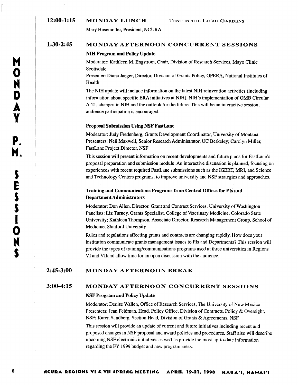# 12:00-1:15 **MONDAY LUNCH** TENT IN THE LU'AU GARDENS

Mary Husemoller, President, NCURA

# **1:30-2:45 MONDAY AFTERNOON CONCURRENT SESSIONS**

## **NIH Program and Policy Update**

Moderator: Kathleen M. Engstrom, Chair, Division of Research Services, Mayo Clinic Scottsdale

Presenter: Diana Jaeger, Director, Division of Grants Policy, OPERA, National Institutes of Health

The NIH update will include information on the latest NIH reinvention activities (including information about specific ERA initiatives at NIH), NIH's implementation of OMB Circular A-21, changes in NIH and the outlook for the future. This will be an interactive session, audience participation is encouraged.

## **Proposal Submission Using NSF FastLane**

Moderator: Judy Fredenberg, Grants Development Coordinator, University of Montana Presenters: Neil Maxwell, Senior Research Administrator, UC Berkeley; Carolyn Miller, FastLane Project Director, NSF

This session will present information on recent developments and future plans for FastLane's proposal preparation and submission module. An interactive discussion is planned, focusing on experiences with recent required FastLane submissions such as the IGERT, MRI, and Science and Technology Centers programs, to improve university and NSF strategies and approaches.

# **Training and Communications Programs from Central Offices for PIs and Department Administrators**

Moderator: Don Allen, Director, Grant and Contract Services, University of Washington Panelists: Liz Turney, Grants Specialist, College of Veterinary Medicine, Colorado State University; Kathleen Thompson, Associate Director, Research Management Group, School of Medicine, Stanford University

Rules and regulations affecting grants and contracts are changing rapidly. How does your institution communicate grants management issues to PIs and Departments? This session will provide the types of training/communications programs used at three universities in Regions VI and VIIand allow time for an open discussion with the audience.

# 2:45-3:00 **MONDAY AFTERNOON BREAK**

# **3:00-4:15 MONDAY AFTERNOON CONCURRENT SESSIONS**

## **NSF Program and Policy Update**

Moderator: Denise Wallen, Office of Research Services, The University of New Mexico Presenters: Jean Feldman, Head, Policy Office, Division of Contracts, Policy & Oversight, NSF; Karen Sandberg, Section Head, Division of Grants & Agreements, NSF

This session will provide an update of current and future initiatives including recent and proposed changes in NSF proposal and award policies and procedures. Staff also will describe upcoming NSF electronic initiatives as well as provide the most up-to-date information regarding the FY 1999 budget and new program areas.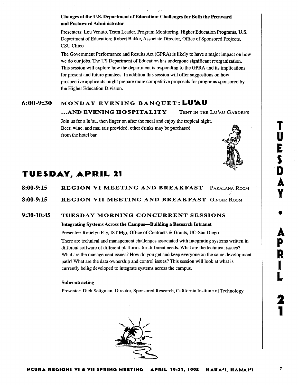# Changes at the U.S. Department of Education: Challenges for Both the Preaward and Postaward Administrator

Presenters: Lou Venuto, Team Leader, Program Monitoring, Higher Education Programs, U.S. Department of Education; Robert Bakke, Associate Director, Office of Sponsored Projects, CSU Chico

The Government Performance and Results Act (GPRA) is likely to have a major impact on how we do our jobs. The US Department of Education has undergone significant reorganization. This session will explore how the department is responding to the GPRA and its implications for present and future grantees. In addition this session will offer suggestions on how prospective applicants might prepaze more competitive proposals for programs sponsored by the Higher Education Division.

# 6:00-9:30 MONDAY EVENING BANQUET: LU'AU

# ...AND EVENING HOSPITALITY TENT IN THE LU'AU GARDENS

~:

Join us for a lu'au, then linger on after the meal and enjoy the tropical night. Beer, wine, and mai tais provided, other drinks may be purchased from the hotel baz.



| 8:00-9:15 |  |  | REGION VI MEETING AND BREAKFAST PAKALANA ROOM |  |
|-----------|--|--|-----------------------------------------------|--|
|           |  |  |                                               |  |

REGION VII MEETING AND BREAKFAST GINGER ROOM 8:00-9:15

#### TUESDAY MORNING CONCURRENT SESSIONS 9:30-10:45

# Integrating Systems Across the Campus- Building a Research Intranet

Presenter: Rojielyn Fay, IST Mgr, Office of Contracts & Grants, UC-San Diego

There are technical and management challenges associated with integrating systems written in different software of different platforms for different needs. What are the technical issues? What are the management issues? How do you get and keep everyone on the same development path? What are the data ownership and control issues? This session wilt look at what is currently being developed to integrate systems across the campus.

# Subcontracting

Presenter: Dick Seligman, Director, Sponsored Research, California Institute of Technology

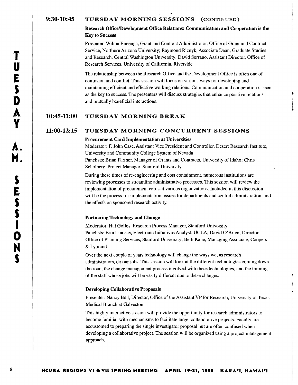# 9:30-10:45 TUESDAY MORNING SESSIONS (CONTINUED)

# Research Oftice/Development Office Relations: Communication and Cooperation is the Key to Success

Presenter: Wilma Ennenga, Grant and Contract Administrator, Office of Grant and Contract Service, Northern Arizona University; Raymond Riznyk, Associate Dean, Graduate Studies and Research, Central Washington University; David Serrano, Assistant Director, Office of Research Services, University of California, Riverside

The relationship between the Research Office and the Development Office is often one of confusion and conflict. This session will focus on various ways for developing and maintaining efficient and effective working relations. Communication and cooperation is seen as the key to success. The presenters will discuss strategies that enhance positive relations and mutually beneficial interactions.

# 10:45-11:00 TUESDAY MORNING BREAK

# 11:00-12:15 TUESDAY MORNING CONCURRENT SESSIONS

# Procurement Card Implementation at Universities

Moderator: R John Case, Assistant Vice President and Controller, Desert Research Institute, University and Community College System of Nevada Panelists: Brian Farmer, Manager of Grants and Contracts, University of Idaho; Chris Scholberg, Project Manager, Stanford University

During these times of re-engineering and cost containment, numerous institutions are reviewing processes to streamline administrative processes. This session will review the implementation of procurement cards at various organizations. Included in: this discussion will be the process for implementation, issues for departments and central administration, and the effects on sponsored research activity.

## Partnering Technology and Change

Moderator: Hal Gollos, Research Process Manager, Stanford University Panelists: Erin Lindsay, Electronic Initiatives Analyst, UCLA; David O'Brien, Director, Office of Planning Services, Stanford University; Beth Kane, Managing Associate, Coopers & Lybrand

Over the next couple of years technology will change the ways we, as research administrators, do our jobs. This session will look at the different technologies coming down the road, the change management process involved with these technologies, and the training of the staff whose jobs will be vastly different due to these changes.

# Developing Collaborative Proposals

Presenter: Nancy Bell, Director, Office of the Assistant VP for Research, University of Texas Medical Branch at Galveston

This highly interactive session will provide the opportunity for research administrators to become familiar with mechanisms to facilitate large, collaborative projects. Faculty are accustomed to preparing the single investigator proposal but are often confused when developing a collaborative project. The session will be organized using a project management approach.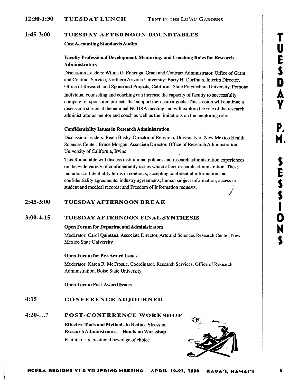#### **TUESDAY AFTERNOON ROUNDTABLES 1:45-3:00**

# **Cost Accounting Standards Audits**

# **Faculty Professional Development, Mentoring, and Coaching Roles for Research Administrators**

Discussion Leaders: Wilma G. Ennenga, Grant and Contract Administrator, Office of Grant and Contract Service, Northern Arizona University; Barry H. Dorfman, Interim Director, Office of Research and Sponsored Projects, California State Polytechnic University, Pomona

Individual counseling and coaching can increase the capacity of faculty to successfully compete for sponsored projects that support their cazeer goals. This session will continue a discussion started at the national NCURA meeting and will explore the role of the reseazch administrator as mentor and coach as well as the limitations on the mentoring role.

# **Confidentiality Issues in Research Administration**

Discussion Leaders: Reata Busby, Director of Research, University of New Mexico Health Sciences Center; Bruce Morgan, Associate Director, Office of Research Administration, University of California, Irvine

This Roundtable will discuss institutional policies and research administration experiences on the wide variety of confidentiality issues which affect research administration. These include: confidentiality terms in contracts; accepting confidential information and confidentiality agreements; industry agreements; human subject information; access to student and medical records; and Freedom of Information requests.

#### **TUESDAY AFTERNOON B RE A K 2:45-3:00**

#### **TUESDAY AFTERNOON FINAL SYNTHESIS 3:00-4:15**

# **Open Forum for Departmental Administrators**

Moderator: Carol Quintana, Associate Director, Arts and Sciences Research Center, New Mexico State University

# **Open Forum for Pre-Award Issues**

Moderator: Karen R. McCrostie, Coordinator, Research Services, Office of Reseazch Administration, Boise State University

**Open Forum Post-Award Issues** 

#### **CONFERENCE ADJOURNED 4:15**

#### **POST**-**CONFERENCE WORKSHOP 4:20**-...?

**Effective Tools and Methods to Reduce Stress in Research Administrators-Hands-on Workshop**  Facilitator: recreational beverage of choice



T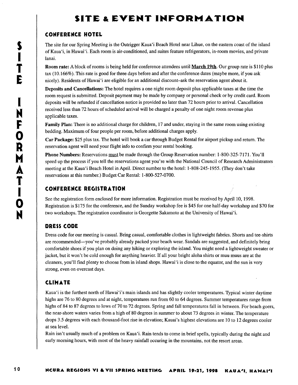# SITE & EVENT INFORMATION

# CONFERENCE MOTEL

The site for our Spring Meeting is the Outrigger Kaua'i Beach Hotel near Lihue, on the eastern coast of the island of Kaua'i, in Hawai'i. Each room is air-conditioned, and suites feature refrigerators, in-room movies, and private lanai.

Room rate: A block of rooms is being held for conference attendees until March 19th. Our group rate is \$110 plus tax (10.166%). This rate is good for three days before and after the conference dates (maybe more, if you ask nicely). Residents of Hawai'i are eligible for an additional discount-ask the reservation agent about it.

Deposits and Cancellations: The hotel requires a one night room deposit plus applicable taxes at the time the room request is submitted. Deposit payment may be made by company or personal check or by credit card. Room deposits will be refunded if cancellation notice is provided no later than 72 hours prior to arrival. Cancellation received less than 72 hours of scheduled arrival will be charged a penalty of one night room revenue plus applicable taxes.

Family Plan: There is no additional charge for children, 17 and under, staying in the same room using existing bedding. Maximum of four people per room, before additional charges apply.

Car Package: \$25 plus tax. The hotel will book a car through Budget Rental for airport pickup and return. The reservation agent will need your flight info to confirm your rental booking.

Phone Numbers: Reservations must be made through the Group Reservation number: 1-800-325-7171. You'll speed up the process if you tell the reservations agent you're with the National Council of Research Administrators meeting at the Kaua'i Beach Hotel in April. Direct number to the hotel: 1-808-245-1955. (They don't take reservations at this number.) Budget Car Rental: 1-800-527-0700.

# CONFERENCE REGISTRATION

See the registration form enclosed for more information. Registration must be received by April 10, 1998. Registration is \$175 for the conference, and the Sunday workshop fee is \$45 for one half-day workshop and \$70 for two workshops. The registration coordinator is Georgette Sakamoto at the University of Hawai `i.

# DRESS CODE

Dress code for our meeting is casual. Bring casual, comfortable clothes in lightweight fabrics. Shorts and tee-shirts are recommended- you've probably already packed your beach wear. Sandals are suggested, and definitely bring comfortable shoes if you plan on doing any hiking or exploring the island. You might need a lightweight sweater or jacket, but it won't be cold enough for anything heavier. If all your bright aloha shirts or muu muus are at the cleaners, you'll find plenty to choose from in island shops. Hawai'i is close to the equator, and the sun is very strong, even on overcast days.

# CLIMATE

Kaua'i is the furthest north of Hawai'i's main islands and has slightly cooler temperatures. Typical winter daytime highs are 76 to 80 degrees and at night, temperatures run from 60 to 64 degrees. Summer temperatures range from highs of 84 to 87 degrees to lows of 70 to 72 degrees. Spring and fall temperatures fall in between. For beach goers, the near-shore waters varies from a high of 80 degrees in summer to about 73 degrees in winter. The temperature drops 3.5 degrees with each thousand-foot rise in elevation; Kauai's highest elevations are 10 to 12 degrees cooler at sea level.

Rain isn't usually much of a problem on Kaua'i. Rain tends to come in brief spells, typically during the night and early morning hours, with most of the heavy rainfall occuring in the mountains, not the resort areas.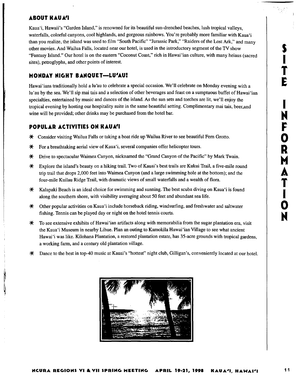# T E N  $\overline{\mathbf{O}}$ R T  $\ddot{\mathbf{O}}$ N

# **ABOUT RAUA'1**

Kaua'i, Hawaii's "Garden Island," is renowned for its beautiful sun-drenched beaches, lush tropical valleys, waterfalls, colorful canyons, cool highlands, and gorgeous rainbows. You're probably more familiar with Kaua'i than you realize, the island was used to film "South Pacific" "Jurassic Park," "Raiders of the Lost Ark," and many other movies. And Wailua Falls, located near our hotel, is used in the introductory segment of the TV show "Fantasy Island." Our hotel is on the eastern "Coconut Coast," rich in Hawai 'ian culture, with many heiaus (sacred sites), petroglyphs, and other points of interest.

# **MONDAY NIGHT BANQUET**- **LUAU:**

Hawai'ians traditionally hold a lu'au to celebrate a special occasion. We'll celebrate on Monday evening with a lu'au by the sea. We'll sip mai tais and a selection of other beverages and feast on a sumptuous buffet of Hawai'ian specialties, entertained by music and dances of the island. As the sun sets and torches are lit, we'll enjoy the tropical evening by hosting our hospitality suite in the same beautiful setting. Complimentary mai tais, beer,and wine will be provided; other drinks may be purchased from the hotel bar.

# **POPULAR ACTIVITIES ON KAUA'I**

- # Consider visiting Wailua Falls or taking a boat ride up Wailua River to see beautiful Fern Grotto.
- $*$  For a breathtaking aerial view of Kaua'i, several companies offer helicopter tours.
- # Drive to spectaculaz Waimea Canyon, nicknamed the "Grand Canyon of the Pacific" by Mark Twain.
- # Explore the island's beauty on a hiking trail. Two of Kauai's best trails aze Kukui Trail, afive-mile round trip trail that drops 2,000 feet into Waimea Canyon (and a lazge swimming hole at the bottom); and the four-mile Kuilau Ridge Trail, with dramatic views of small waterfalls and a wealth of flora.
- **K** Kalapaki Beach is an ideal choice for swimming and sunning. The best scuba diving on Kaua'i is found along the southern shore, with visibility averaging about 50 feet and abundant sea life.
- **米** Other popular activities on Kaua'i include horseback riding, windsurfing, and freshwater and saltwater fishing. Tennis can be played day or night on the hotel tennis courts.
- $*$  To see extensive exhibits of Hawai 'ian artifacts along with memorabilia from the sugar plantation era, visit the Kaua'i Museum in nearby Lihue. Plan an outing to Kamokila Hawai'ian Village to see what ancient Hawai 'i was like. Kilohana Plantation, a restored plantation estate, has 35-acre grounds with tropical gardens, a working farm, and a century old plantation village.
- # Dance to the best in top-40 music at Kauai's "hottest" night club, Gilligan's, conveniently located at our hotel.